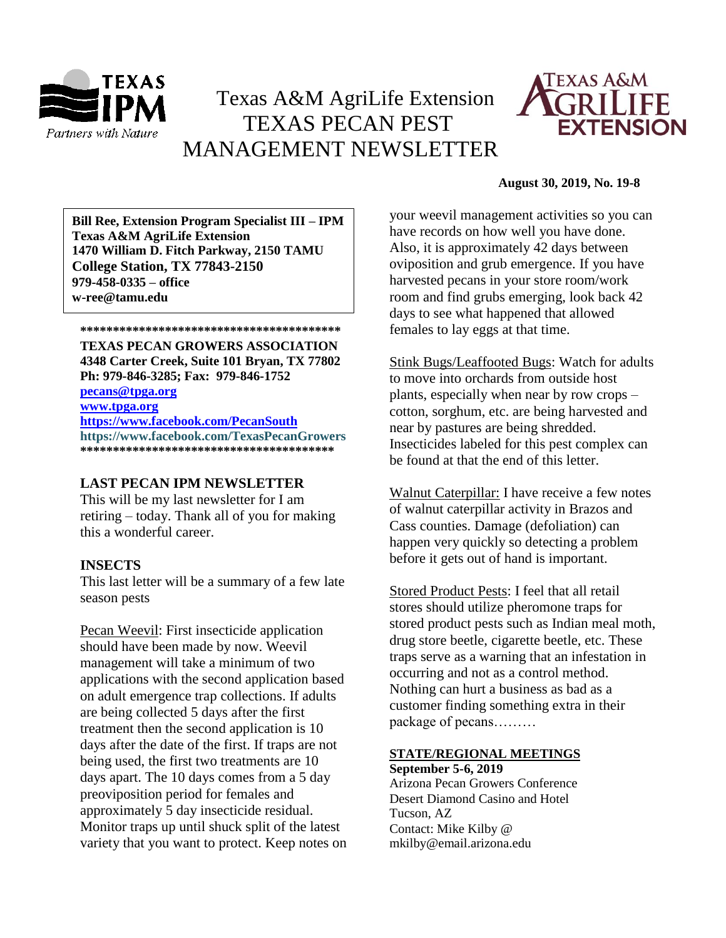

# Texas A&M AgriLife Extension TEXAS PECAN PEST MANAGEMENT NEWSLETTER



## **August 30, 2019, No. 19-8**

**\*\*\*\*\*\*\*\*\*\*\*\*\*\*\*\*\*\*\*\*\*\*\*\*\*\*\*\*\*\*\*\*\*\*\*\*\*\*\*\* 1470 William D. Fitch Parkway, 2150 TAMU Bill Ree, Extension Program Specialist III – IPM Texas A&M AgriLife Extension College Station, TX 77843-2150 979-458-0335 – office w-ree@tamu.edu**

**\*\*\*\*\*\*\*\*\*\*\*\*\*\*\*\*\*\*\*\*\*\*\*\*\*\*\*\*\*\*\*\*\*\*\*\*\*\*\*\***

**TEXAS PECAN GROWERS ASSOCIATION 4348 Carter Creek, Suite 101 Bryan, TX 77802 Ph: 979-846-3285; Fax: 979-846-1752**

**[pecans@tpga.org](mailto:pecans@tpga.org) [www.tpga.org](http://www.tpga.org/)**

**<https://www.facebook.com/PecanSouth> https://www.facebook.com/TexasPecanGrowers \*\*\*\*\*\*\*\*\*\*\*\*\*\*\*\*\*\*\*\*\*\*\*\*\*\*\*\*\*\*\*\*\*\*\*\*\*\*\***

## **LAST PECAN IPM NEWSLETTER**

This will be my last newsletter for I am retiring – today. Thank all of you for making this a wonderful career.

# **INSECTS**

This last letter will be a summary of a few late season pests

Pecan Weevil: First insecticide application should have been made by now. Weevil management will take a minimum of two applications with the second application based on adult emergence trap collections. If adults are being collected 5 days after the first treatment then the second application is 10 days after the date of the first. If traps are not being used, the first two treatments are 10 days apart. The 10 days comes from a 5 day preoviposition period for females and approximately 5 day insecticide residual. Monitor traps up until shuck split of the latest variety that you want to protect. Keep notes on your weevil management activities so you can have records on how well you have done. Also, it is approximately 42 days between oviposition and grub emergence. If you have harvested pecans in your store room/work room and find grubs emerging, look back 42 days to see what happened that allowed females to lay eggs at that time.

Stink Bugs/Leaffooted Bugs: Watch for adults to move into orchards from outside host plants, especially when near by row crops – cotton, sorghum, etc. are being harvested and near by pastures are being shredded. Insecticides labeled for this pest complex can be found at that the end of this letter.

Walnut Caterpillar: I have receive a few notes of walnut caterpillar activity in Brazos and Cass counties. Damage (defoliation) can happen very quickly so detecting a problem before it gets out of hand is important.

Stored Product Pests: I feel that all retail stores should utilize pheromone traps for stored product pests such as Indian meal moth, drug store beetle, cigarette beetle, etc. These traps serve as a warning that an infestation in occurring and not as a control method. Nothing can hurt a business as bad as a customer finding something extra in their package of pecans………

## **STATE/REGIONAL MEETINGS September 5-6, 2019**

Arizona Pecan Growers Conference Desert Diamond Casino and Hotel Tucson, AZ Contact: Mike Kilby @ mkilby@email.arizona.edu